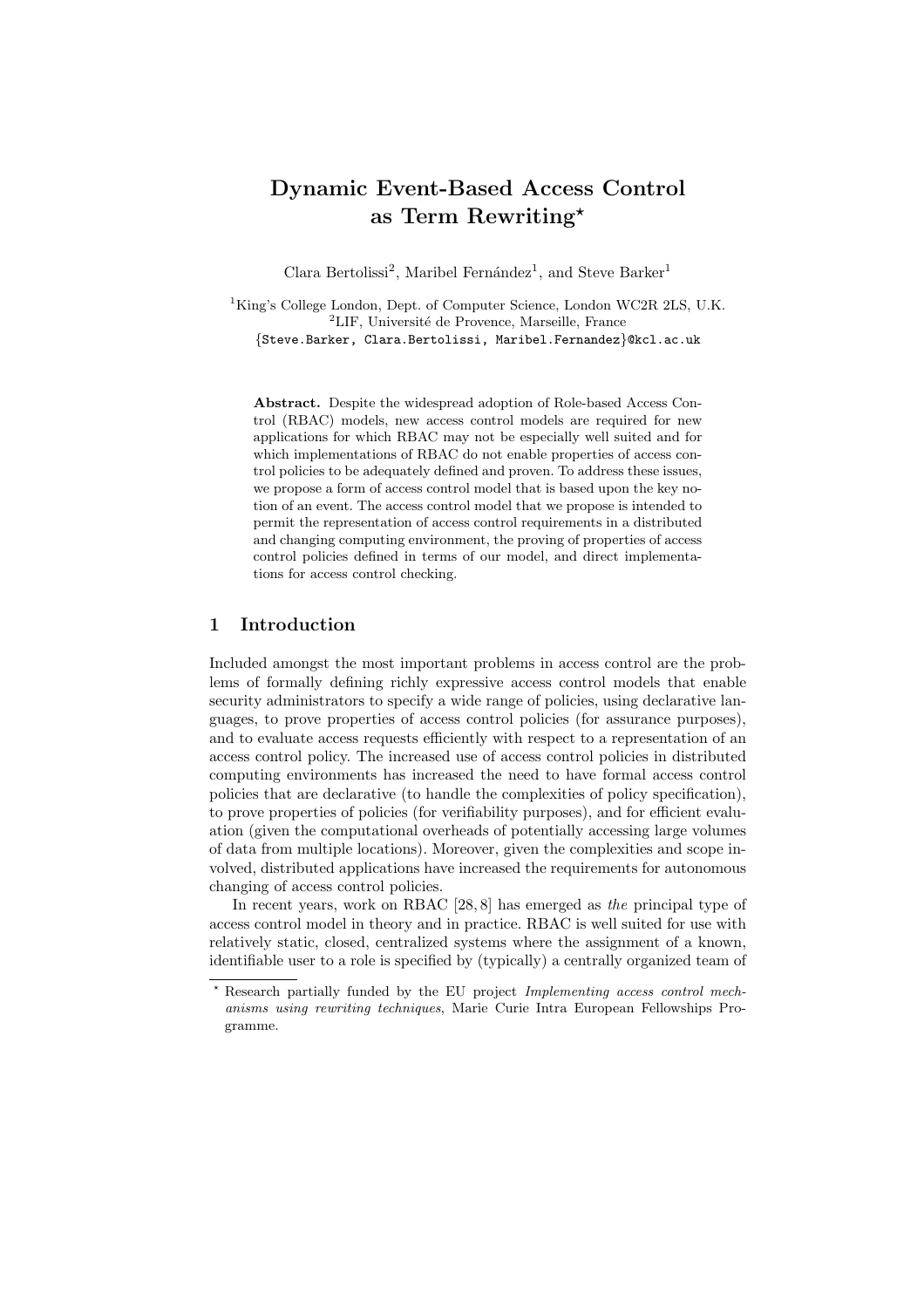# Dynamic Event-Based Access Control as Term Rewriting?

Clara Bertolissi<sup>2</sup>, Maribel Fernández<sup>1</sup>, and Steve Barker<sup>1</sup>

<sup>1</sup>King's College London, Dept. of Computer Science, London WC2R 2LS, U.K.  $^{2}\mathrm{LIF},$  Université de Provence, Marseille, France {Steve.Barker, Clara.Bertolissi, Maribel.Fernandez}@kcl.ac.uk

Abstract. Despite the widespread adoption of Role-based Access Control (RBAC) models, new access control models are required for new applications for which RBAC may not be especially well suited and for which implementations of RBAC do not enable properties of access control policies to be adequately defined and proven. To address these issues, we propose a form of access control model that is based upon the key notion of an event. The access control model that we propose is intended to permit the representation of access control requirements in a distributed and changing computing environment, the proving of properties of access control policies defined in terms of our model, and direct implementations for access control checking.

### 1 Introduction

Included amongst the most important problems in access control are the problems of formally defining richly expressive access control models that enable security administrators to specify a wide range of policies, using declarative languages, to prove properties of access control policies (for assurance purposes), and to evaluate access requests efficiently with respect to a representation of an access control policy. The increased use of access control policies in distributed computing environments has increased the need to have formal access control policies that are declarative (to handle the complexities of policy specification), to prove properties of policies (for verifiability purposes), and for efficient evaluation (given the computational overheads of potentially accessing large volumes of data from multiple locations). Moreover, given the complexities and scope involved, distributed applications have increased the requirements for autonomous changing of access control policies.

In recent years, work on RBAC [28, 8] has emerged as the principal type of access control model in theory and in practice. RBAC is well suited for use with relatively static, closed, centralized systems where the assignment of a known, identifiable user to a role is specified by (typically) a centrally organized team of

<sup>?</sup> Research partially funded by the EU project Implementing access control mechanisms using rewriting techniques, Marie Curie Intra European Fellowships Programme.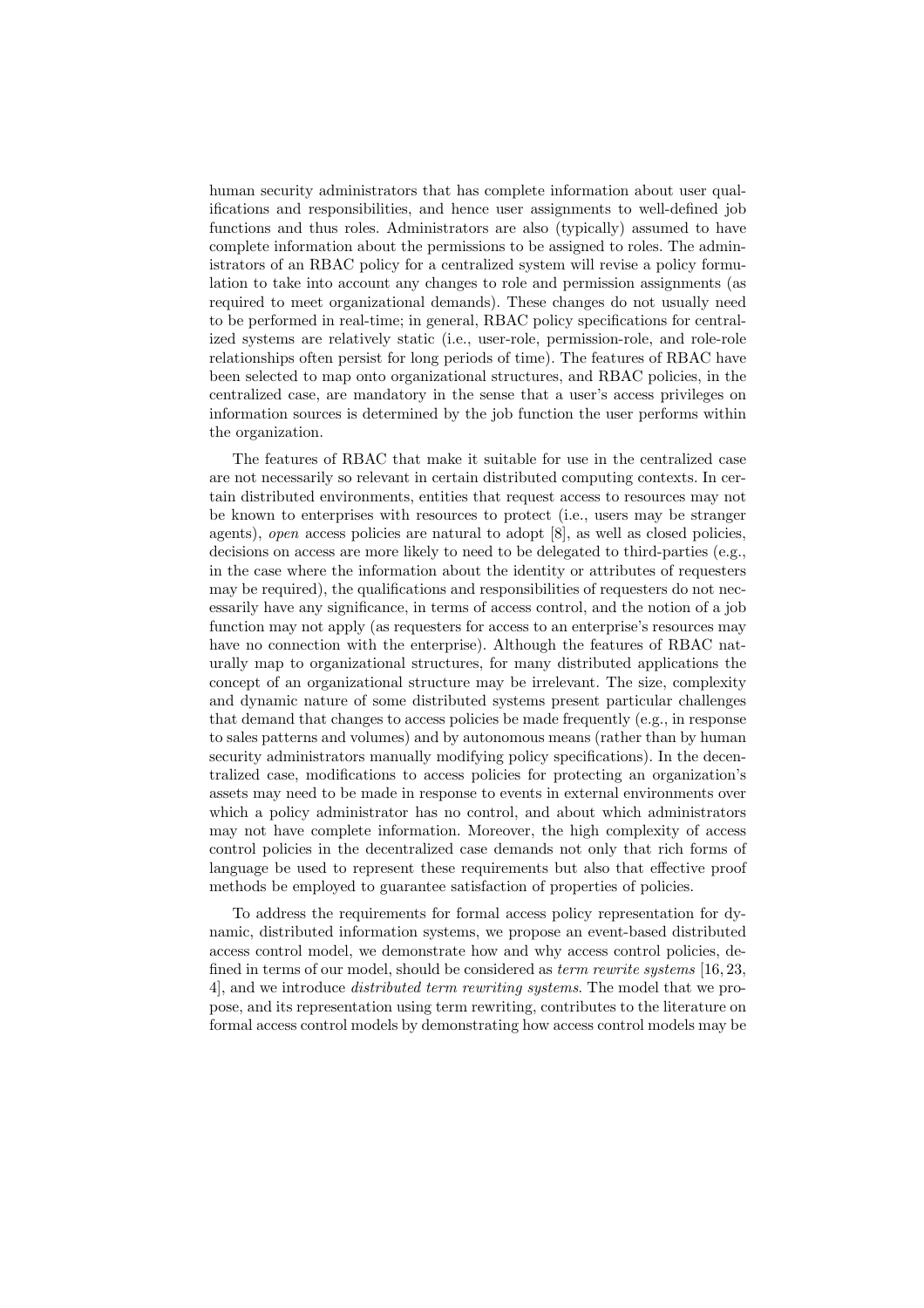human security administrators that has complete information about user qualifications and responsibilities, and hence user assignments to well-defined job functions and thus roles. Administrators are also (typically) assumed to have complete information about the permissions to be assigned to roles. The administrators of an RBAC policy for a centralized system will revise a policy formulation to take into account any changes to role and permission assignments (as required to meet organizational demands). These changes do not usually need to be performed in real-time; in general, RBAC policy specifications for centralized systems are relatively static (i.e., user-role, permission-role, and role-role relationships often persist for long periods of time). The features of RBAC have been selected to map onto organizational structures, and RBAC policies, in the centralized case, are mandatory in the sense that a user's access privileges on information sources is determined by the job function the user performs within the organization.

The features of RBAC that make it suitable for use in the centralized case are not necessarily so relevant in certain distributed computing contexts. In certain distributed environments, entities that request access to resources may not be known to enterprises with resources to protect (i.e., users may be stranger agents), open access policies are natural to adopt [8], as well as closed policies, decisions on access are more likely to need to be delegated to third-parties (e.g., in the case where the information about the identity or attributes of requesters may be required), the qualifications and responsibilities of requesters do not necessarily have any significance, in terms of access control, and the notion of a job function may not apply (as requesters for access to an enterprise's resources may have no connection with the enterprise). Although the features of RBAC naturally map to organizational structures, for many distributed applications the concept of an organizational structure may be irrelevant. The size, complexity and dynamic nature of some distributed systems present particular challenges that demand that changes to access policies be made frequently (e.g., in response to sales patterns and volumes) and by autonomous means (rather than by human security administrators manually modifying policy specifications). In the decentralized case, modifications to access policies for protecting an organization's assets may need to be made in response to events in external environments over which a policy administrator has no control, and about which administrators may not have complete information. Moreover, the high complexity of access control policies in the decentralized case demands not only that rich forms of language be used to represent these requirements but also that effective proof methods be employed to guarantee satisfaction of properties of policies.

To address the requirements for formal access policy representation for dynamic, distributed information systems, we propose an event-based distributed access control model, we demonstrate how and why access control policies, defined in terms of our model, should be considered as term rewrite systems [16, 23, 4], and we introduce distributed term rewriting systems. The model that we propose, and its representation using term rewriting, contributes to the literature on formal access control models by demonstrating how access control models may be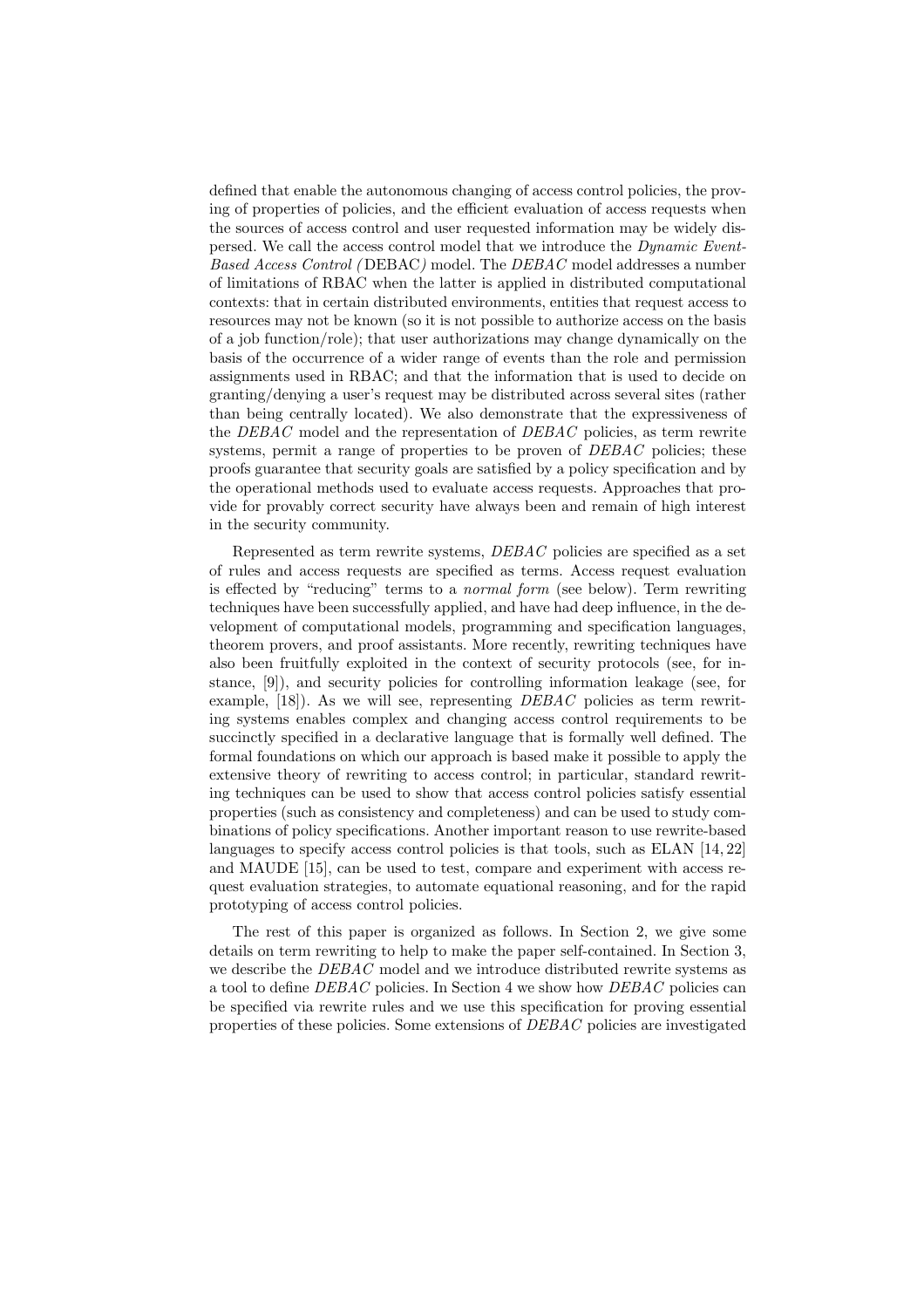defined that enable the autonomous changing of access control policies, the proving of properties of policies, and the efficient evaluation of access requests when the sources of access control and user requested information may be widely dispersed. We call the access control model that we introduce the Dynamic Event-Based Access Control ( DEBAC) model. The DEBAC model addresses a number of limitations of RBAC when the latter is applied in distributed computational contexts: that in certain distributed environments, entities that request access to resources may not be known (so it is not possible to authorize access on the basis of a job function/role); that user authorizations may change dynamically on the basis of the occurrence of a wider range of events than the role and permission assignments used in RBAC; and that the information that is used to decide on granting/denying a user's request may be distributed across several sites (rather than being centrally located). We also demonstrate that the expressiveness of the  $DEBAC$  model and the representation of  $DEBAC$  policies, as term rewrite systems, permit a range of properties to be proven of  $DEBAC$  policies; these proofs guarantee that security goals are satisfied by a policy specification and by the operational methods used to evaluate access requests. Approaches that provide for provably correct security have always been and remain of high interest in the security community.

Represented as term rewrite systems, DEBAC policies are specified as a set of rules and access requests are specified as terms. Access request evaluation is effected by "reducing" terms to a normal form (see below). Term rewriting techniques have been successfully applied, and have had deep influence, in the development of computational models, programming and specification languages, theorem provers, and proof assistants. More recently, rewriting techniques have also been fruitfully exploited in the context of security protocols (see, for instance, [9]), and security policies for controlling information leakage (see, for example,  $[18]$ . As we will see, representing *DEBAC* policies as term rewriting systems enables complex and changing access control requirements to be succinctly specified in a declarative language that is formally well defined. The formal foundations on which our approach is based make it possible to apply the extensive theory of rewriting to access control; in particular, standard rewriting techniques can be used to show that access control policies satisfy essential properties (such as consistency and completeness) and can be used to study combinations of policy specifications. Another important reason to use rewrite-based languages to specify access control policies is that tools, such as ELAN [14, 22] and MAUDE [15], can be used to test, compare and experiment with access request evaluation strategies, to automate equational reasoning, and for the rapid prototyping of access control policies.

The rest of this paper is organized as follows. In Section 2, we give some details on term rewriting to help to make the paper self-contained. In Section 3, we describe the DEBAC model and we introduce distributed rewrite systems as a tool to define  $DEBAC$  policies. In Section 4 we show how  $DEBAC$  policies can be specified via rewrite rules and we use this specification for proving essential properties of these policies. Some extensions of DEBAC policies are investigated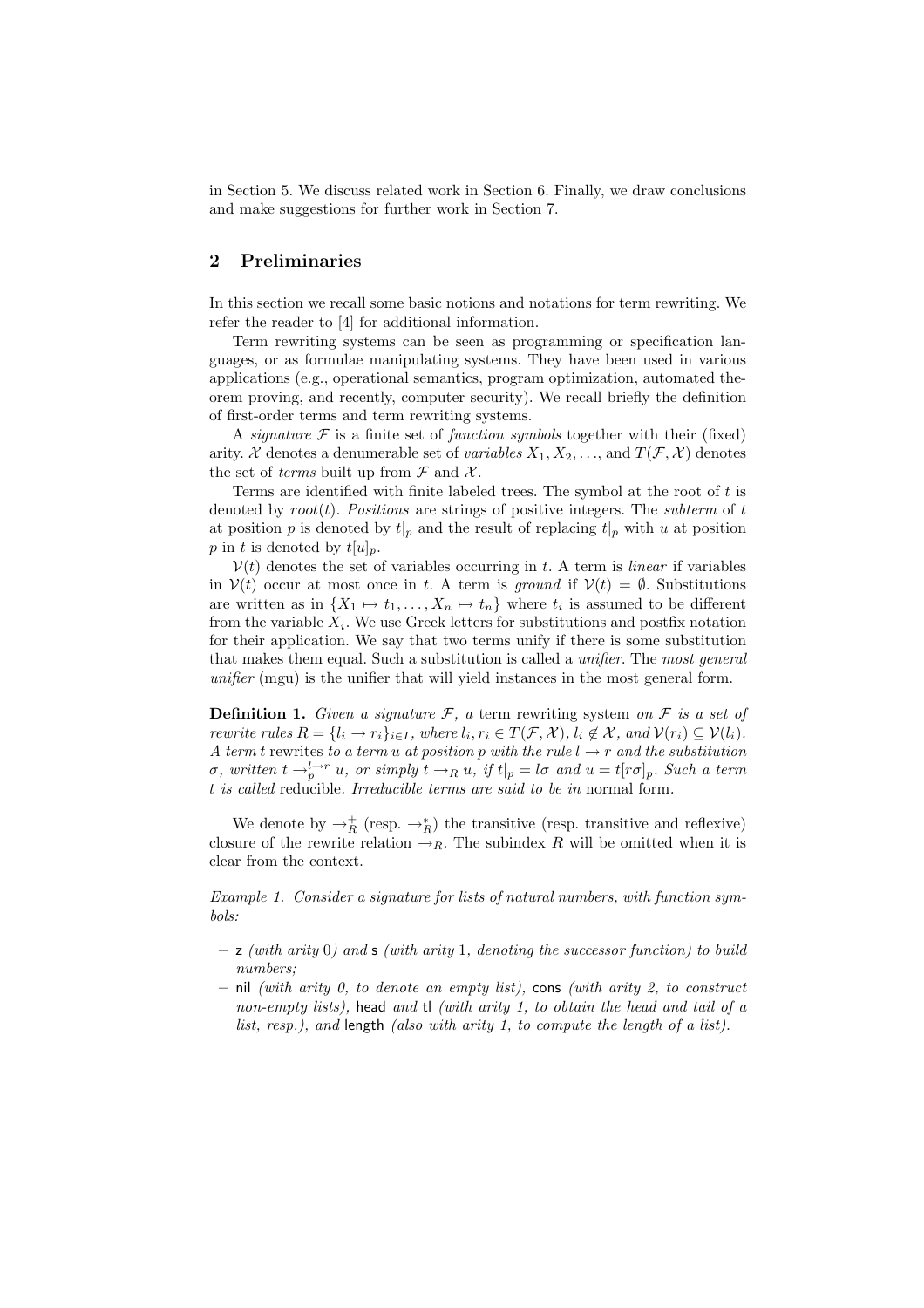in Section 5. We discuss related work in Section 6. Finally, we draw conclusions and make suggestions for further work in Section 7.

# 2 Preliminaries

In this section we recall some basic notions and notations for term rewriting. We refer the reader to [4] for additional information.

Term rewriting systems can be seen as programming or specification languages, or as formulae manipulating systems. They have been used in various applications (e.g., operational semantics, program optimization, automated theorem proving, and recently, computer security). We recall briefly the definition of first-order terms and term rewriting systems.

A signature  $\mathcal F$  is a finite set of function symbols together with their (fixed) arity. X denotes a denumerable set of variables  $X_1, X_2, \ldots$ , and  $T(\mathcal{F}, \mathcal{X})$  denotes the set of *terms* built up from  $\mathcal F$  and  $\mathcal X$ .

Terms are identified with finite labeled trees. The symbol at the root of t is denoted by  $root(t)$ . Positions are strings of positive integers. The subterm of t at position p is denoted by  $t|_p$  and the result of replacing  $t|_p$  with u at position p in t is denoted by  $t|u|_p$ .

 $V(t)$  denotes the set of variables occurring in t. A term is linear if variables in  $V(t)$  occur at most once in t. A term is ground if  $V(t) = \emptyset$ . Substitutions are written as in  $\{X_1 \mapsto t_1, \ldots, X_n \mapsto t_n\}$  where  $t_i$  is assumed to be different from the variable  $X_i$ . We use Greek letters for substitutions and postfix notation for their application. We say that two terms unify if there is some substitution that makes them equal. Such a substitution is called a *unifier*. The most general unifier (mgu) is the unifier that will yield instances in the most general form.

**Definition 1.** Given a signature F, a term rewriting system on F is a set of rewrite rules  $R = \{l_i \to r_i\}_{i \in I}$ , where  $l_i, r_i \in T(\mathcal{F}, \mathcal{X})$ ,  $l_i \notin \mathcal{X}$ , and  $\mathcal{V}(r_i) \subseteq \mathcal{V}(l_i)$ . A term t rewrites to a term u at position p with the rule  $l \rightarrow r$  and the substitution  $\sigma$ , written  $t \rightarrow_p^{l \rightarrow r} u$ , or simply  $t \rightarrow_R u$ , if  $t|_p = l\sigma$  and  $u = t[r\sigma]_p$ . Such a term t is called reducible. Irreducible terms are said to be in normal form.

We denote by  $\rightarrow_R^+$  (resp.  $\rightarrow_R^*$ ) the transitive (resp. transitive and reflexive) closure of the rewrite relation  $\rightarrow_R$ . The subindex R will be omitted when it is clear from the context.

Example 1. Consider a signature for lists of natural numbers, with function symbols:

- $z$  (with arity 0) and  $s$  (with arity 1, denoting the successor function) to build numbers;
- $-$  nil (with arity 0, to denote an empty list), cons (with arity 2, to construct non-empty lists), head and tl (with arity 1, to obtain the head and tail of a list, resp.), and length (also with arity 1, to compute the length of a list).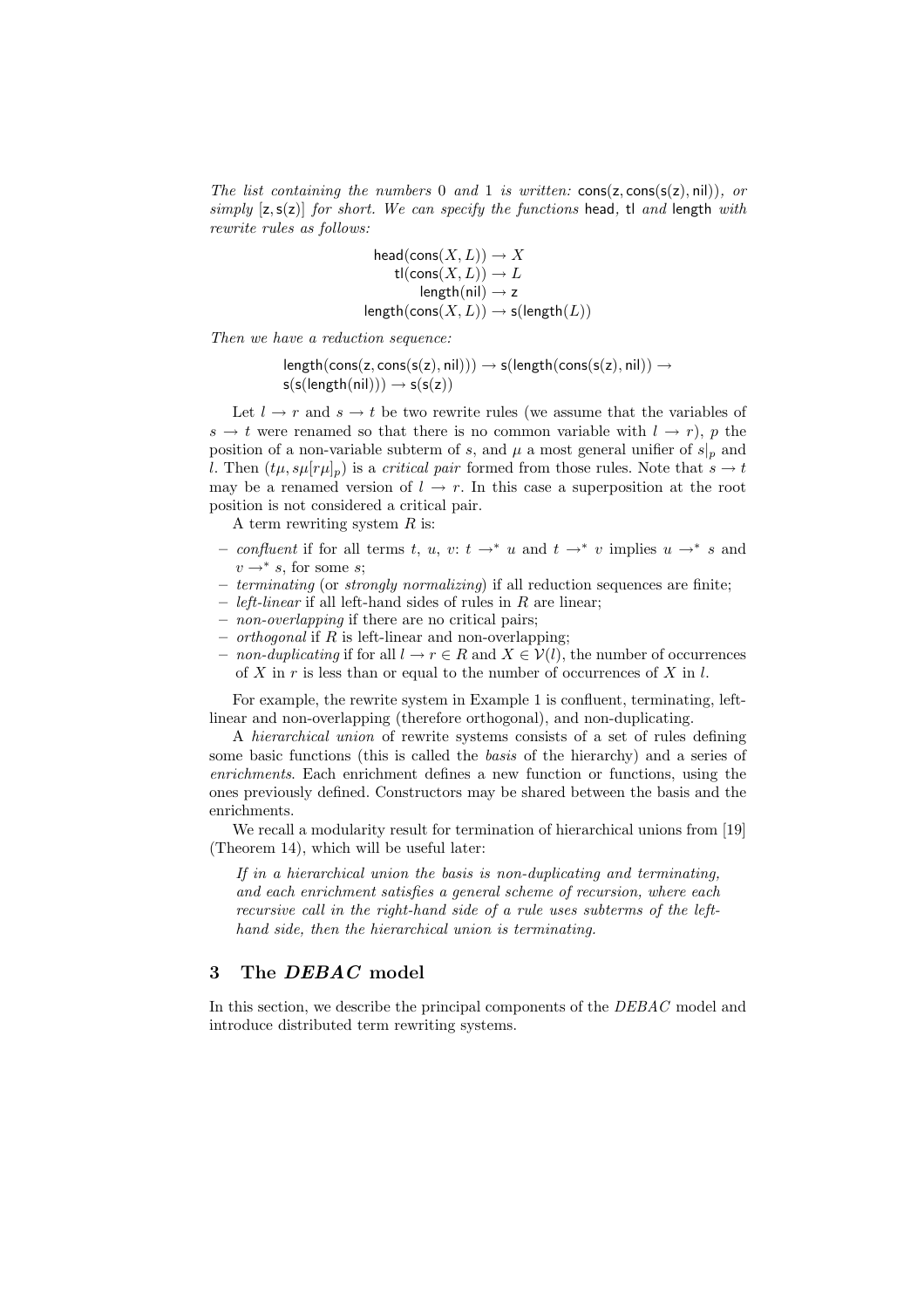The list containing the numbers 0 and 1 is written:  $\cos(z, \cos(s(z), \text{nil}))$ , or simply  $[z, s(z)]$  for short. We can specify the functions head, tl and length with rewrite rules as follows:

$$
\begin{array}{c} \mathsf{head}(\mathsf{cons}(X,L)) \to X \\ \mathsf{tl}(\mathsf{cons}(X,L)) \to L \\ \mathsf{length}(\mathsf{nil}) \to \mathsf{z} \\ \mathsf{length}(\mathsf{cons}(X,L)) \to \mathsf{s}(\mathsf{length}(L)) \end{array}
$$

Then we have a reduction sequence:

 $length(cons(z, cons(s(z), nil))) \rightarrow s(length(cons(s(z), nil)) \rightarrow$  $s(s(length(nil))) \rightarrow s(s(z))$ 

Let  $l \to r$  and  $s \to t$  be two rewrite rules (we assume that the variables of  $s \to t$  were renamed so that there is no common variable with  $l \to r$ , p the position of a non-variable subterm of s, and  $\mu$  a most general unifier of  $s|_p$  and l. Then  $(t\mu, s\mu[r\mu]_p)$  is a *critical pair* formed from those rules. Note that  $s \to t$ may be a renamed version of  $l \to r$ . In this case a superposition at the root position is not considered a critical pair.

A term rewriting system  $R$  is:

- confluent if for all terms t, u, v: t → \* u and t → \* v implies  $u \rightarrow^* s$  and  $v \rightarrow^* s$ , for some s;
- terminating (or strongly normalizing) if all reduction sequences are finite;
- $-$  *left-linear* if all left-hand sides of rules in R are linear;
- non-overlapping if there are no critical pairs;
- *orthogonal* if  $R$  is left-linear and non-overlapping;
- non-duplicating if for all  $l \to r \in R$  and  $X \in V(l)$ , the number of occurrences of X in  $r$  is less than or equal to the number of occurrences of X in l.

For example, the rewrite system in Example 1 is confluent, terminating, leftlinear and non-overlapping (therefore orthogonal), and non-duplicating.

A hierarchical union of rewrite systems consists of a set of rules defining some basic functions (this is called the *basis* of the hierarchy) and a series of enrichments. Each enrichment defines a new function or functions, using the ones previously defined. Constructors may be shared between the basis and the enrichments.

We recall a modularity result for termination of hierarchical unions from [19] (Theorem 14), which will be useful later:

If in a hierarchical union the basis is non-duplicating and terminating, and each enrichment satisfies a general scheme of recursion, where each recursive call in the right-hand side of a rule uses subterms of the lefthand side, then the hierarchical union is terminating.

#### 3 The *DEBAC* model

In this section, we describe the principal components of the DEBAC model and introduce distributed term rewriting systems.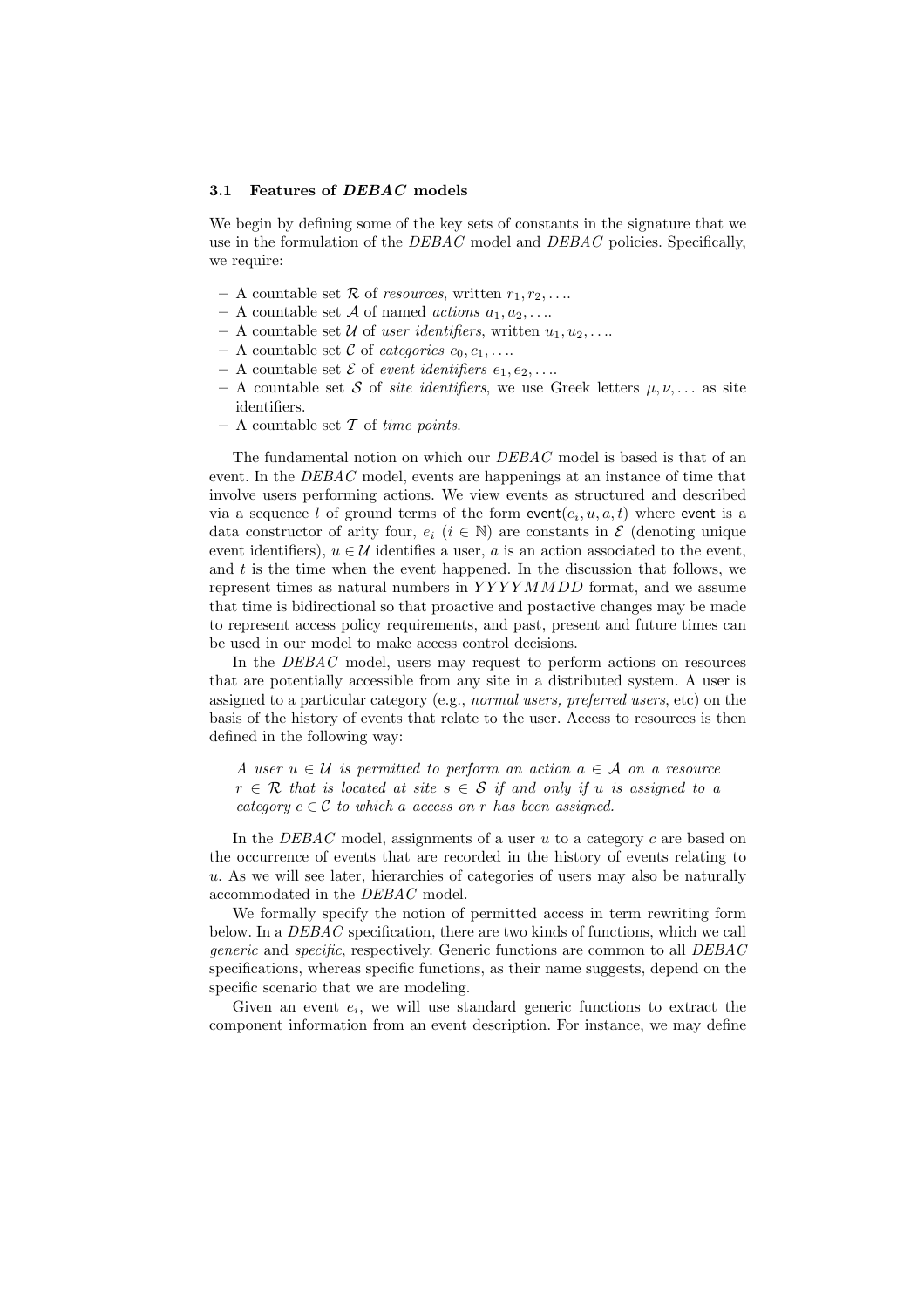#### 3.1 Features of DEBAC models

We begin by defining some of the key sets of constants in the signature that we use in the formulation of the DEBAC model and DEBAC policies. Specifically, we require:

- A countable set  $\mathcal R$  of *resources*, written  $r_1, r_2, \ldots$
- A countable set A of named *actions*  $a_1, a_2, \ldots$
- A countable set U of user identifiers, written  $u_1, u_2, \ldots$
- A countable set C of *categories*  $c_0, c_1, \ldots$
- A countable set  $\mathcal E$  of event identifiers  $e_1, e_2, \ldots$
- A countable set S of *site identifiers*, we use Greek letters  $\mu, \nu, \ldots$  as site identifiers.
- A countable set  $\mathcal T$  of time points.

The fundamental notion on which our *DEBAC* model is based is that of an event. In the DEBAC model, events are happenings at an instance of time that involve users performing actions. We view events as structured and described via a sequence l of ground terms of the form  $event(e_i, u, a, t)$  where event is a data constructor of arity four,  $e_i$  ( $i \in \mathbb{N}$ ) are constants in  $\mathcal E$  (denoting unique event identifiers),  $u \in \mathcal{U}$  identifies a user, a is an action associated to the event, and  $t$  is the time when the event happened. In the discussion that follows, we represent times as natural numbers in  $YYYYMMDD$  format, and we assume that time is bidirectional so that proactive and postactive changes may be made to represent access policy requirements, and past, present and future times can be used in our model to make access control decisions.

In the DEBAC model, users may request to perform actions on resources that are potentially accessible from any site in a distributed system. A user is assigned to a particular category (e.g., normal users, preferred users, etc) on the basis of the history of events that relate to the user. Access to resources is then defined in the following way:

A user  $u \in \mathcal{U}$  is permitted to perform an action  $a \in \mathcal{A}$  on a resource  $r \in \mathcal{R}$  that is located at site  $s \in \mathcal{S}$  if and only if u is assigned to a category  $c \in \mathcal{C}$  to which a access on r has been assigned.

In the DEBAC model, assignments of a user  $u$  to a category  $c$  are based on the occurrence of events that are recorded in the history of events relating to  $u$ . As we will see later, hierarchies of categories of users may also be naturally accommodated in the DEBAC model.

We formally specify the notion of permitted access in term rewriting form below. In a DEBAC specification, there are two kinds of functions, which we call generic and specific, respectively. Generic functions are common to all DEBAC specifications, whereas specific functions, as their name suggests, depend on the specific scenario that we are modeling.

Given an event  $e_i$ , we will use standard generic functions to extract the component information from an event description. For instance, we may define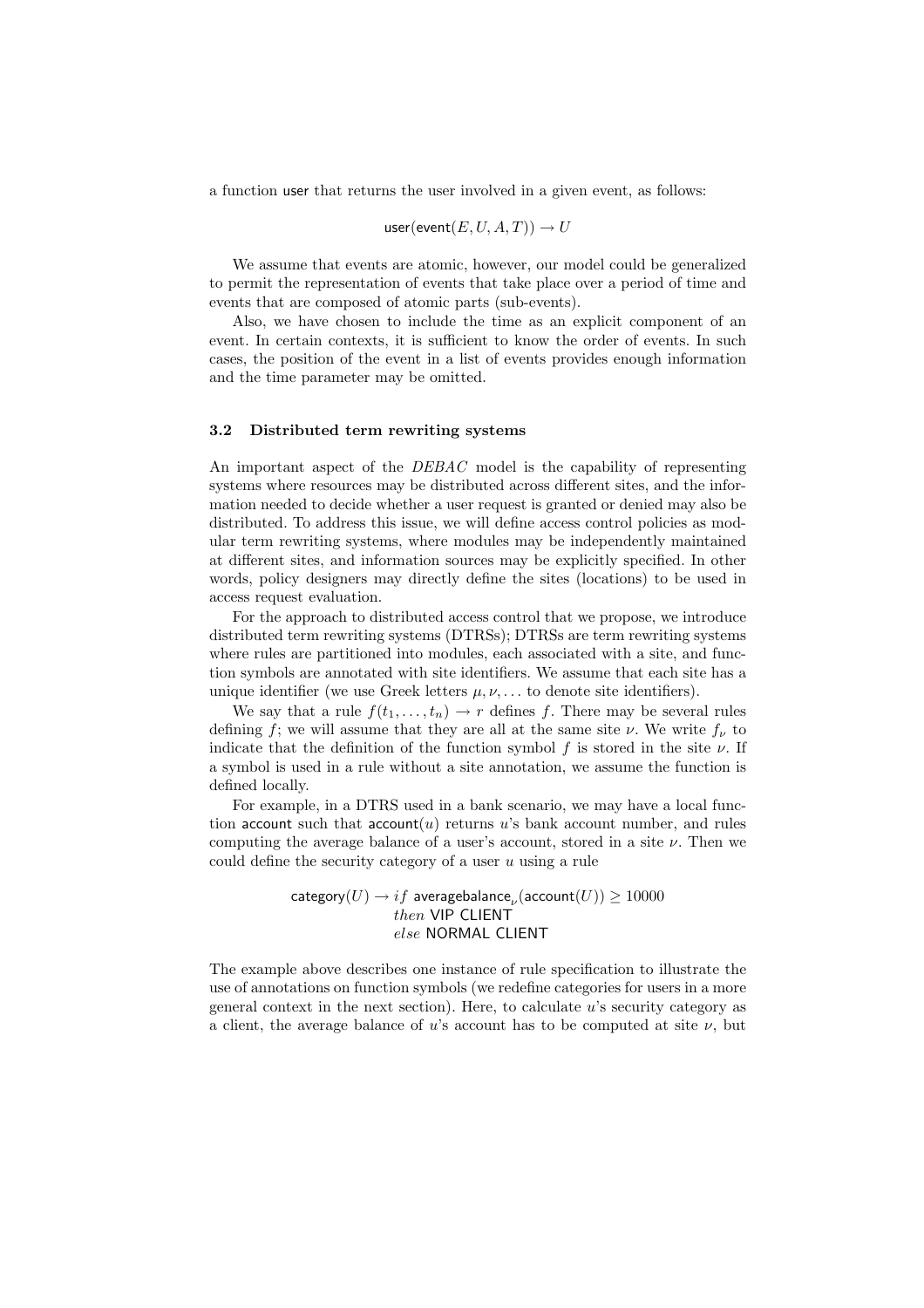a function user that returns the user involved in a given event, as follows:

$$
\mathsf{user}(\mathsf{event}(E, U, A, T)) \to U
$$

We assume that events are atomic, however, our model could be generalized to permit the representation of events that take place over a period of time and events that are composed of atomic parts (sub-events).

Also, we have chosen to include the time as an explicit component of an event. In certain contexts, it is sufficient to know the order of events. In such cases, the position of the event in a list of events provides enough information and the time parameter may be omitted.

#### 3.2 Distributed term rewriting systems

An important aspect of the DEBAC model is the capability of representing systems where resources may be distributed across different sites, and the information needed to decide whether a user request is granted or denied may also be distributed. To address this issue, we will define access control policies as modular term rewriting systems, where modules may be independently maintained at different sites, and information sources may be explicitly specified. In other words, policy designers may directly define the sites (locations) to be used in access request evaluation.

For the approach to distributed access control that we propose, we introduce distributed term rewriting systems (DTRSs); DTRSs are term rewriting systems where rules are partitioned into modules, each associated with a site, and function symbols are annotated with site identifiers. We assume that each site has a unique identifier (we use Greek letters  $\mu, \nu, \ldots$  to denote site identifiers).

We say that a rule  $f(t_1, \ldots, t_n) \to r$  defines f. There may be several rules defining f; we will assume that they are all at the same site  $\nu$ . We write  $f_{\nu}$  to indicate that the definition of the function symbol f is stored in the site  $\nu$ . If a symbol is used in a rule without a site annotation, we assume the function is defined locally.

For example, in a DTRS used in a bank scenario, we may have a local function account such that account(u) returns u's bank account number, and rules computing the average balance of a user's account, stored in a site  $\nu$ . Then we could define the security category of a user  $u$  using a rule

> $\mathsf{category}(U) \to if$  averagebalance $_\nu(\mathsf{account}(U)) \geq 10000$ then VIP CLIENT else NORMAL CLIENT

The example above describes one instance of rule specification to illustrate the use of annotations on function symbols (we redefine categories for users in a more general context in the next section). Here, to calculate u's security category as a client, the average balance of u's account has to be computed at site  $\nu$ , but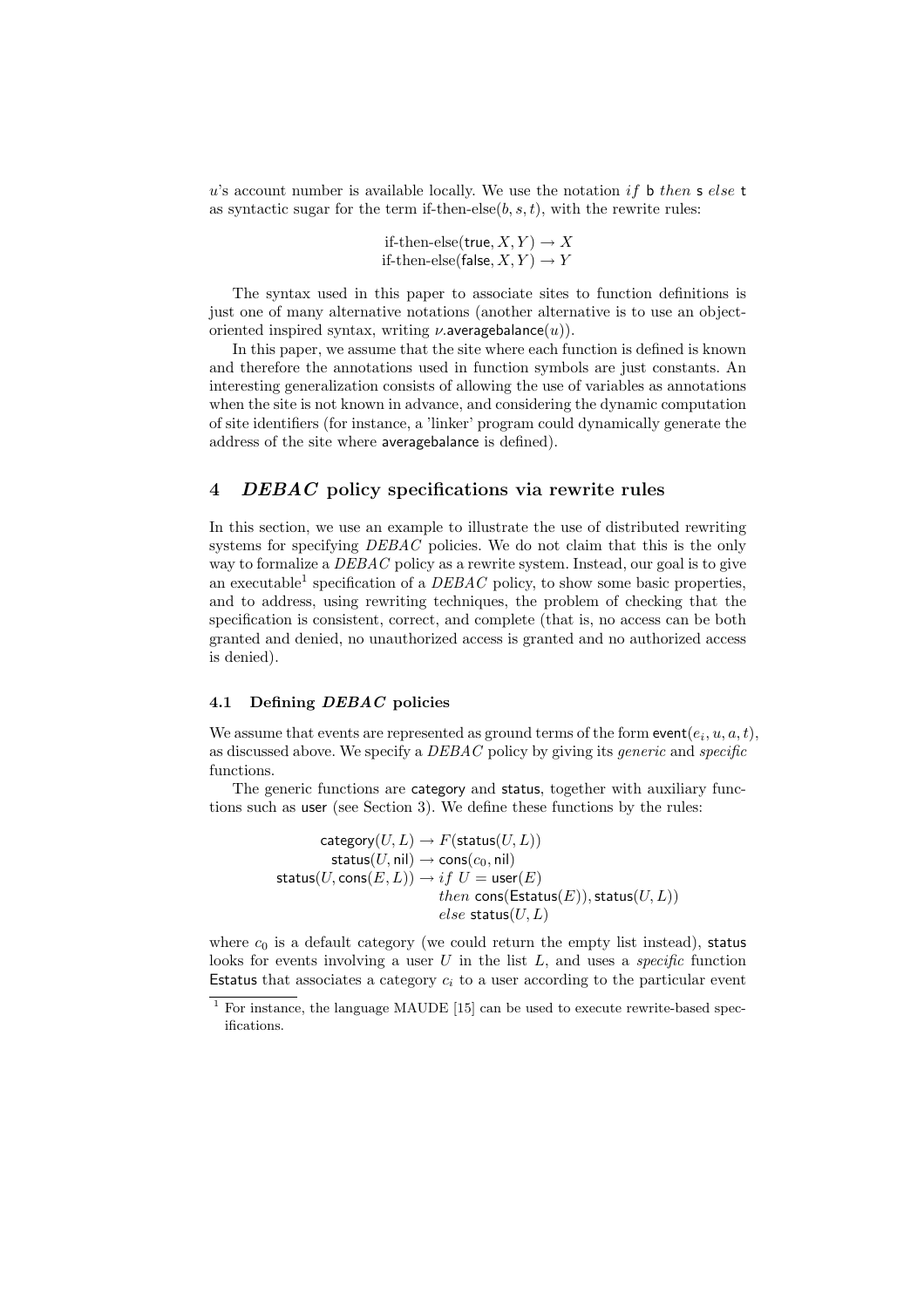u's account number is available locally. We use the notation if b then s else t as syntactic sugar for the term if-then-else $(b, s, t)$ , with the rewrite rules:

> if-then-else(true,  $X, Y$ )  $\rightarrow X$ if-then-else(false,  $X, Y$ )  $\rightarrow Y$

The syntax used in this paper to associate sites to function definitions is just one of many alternative notations (another alternative is to use an objectoriented inspired syntax, writing  $\nu$  averagebalance(u)).

In this paper, we assume that the site where each function is defined is known and therefore the annotations used in function symbols are just constants. An interesting generalization consists of allowing the use of variables as annotations when the site is not known in advance, and considering the dynamic computation of site identifiers (for instance, a 'linker' program could dynamically generate the address of the site where averagebalance is defined).

#### 4 DEBAC policy specifications via rewrite rules

In this section, we use an example to illustrate the use of distributed rewriting systems for specifying DEBAC policies. We do not claim that this is the only way to formalize a DEBAC policy as a rewrite system. Instead, our goal is to give an executable<sup>1</sup> specification of a  $DEBAC$  policy, to show some basic properties, and to address, using rewriting techniques, the problem of checking that the specification is consistent, correct, and complete (that is, no access can be both granted and denied, no unauthorized access is granted and no authorized access is denied).

#### 4.1 Defining DEBAC policies

We assume that events are represented as ground terms of the form event $(e_i, u, a, t)$ , as discussed above. We specify a DEBAC policy by giving its generic and specific functions.

The generic functions are category and status, together with auxiliary functions such as user (see Section 3). We define these functions by the rules:

$$
\begin{array}{ll}\texttt{category}(U,L) \rightarrow F(\texttt{status}(U,L))\\ \texttt{status}(U,\texttt{nil}) \rightarrow \texttt{cons}(c_0,\texttt{nil})\\ \texttt{status}(U,\texttt{cons}(E,L)) \rightarrow if \ U = \texttt{user}(E)\\ & then \ \texttt{cons}(\texttt{Estatus}(E)), \texttt{status}(U,L))\\ & else \ \texttt{status}(U,L) \end{array}
$$

where  $c_0$  is a default category (we could return the empty list instead), status looks for events involving a user  $U$  in the list  $L$ , and uses a *specific* function Estatus that associates a category  $c_i$  to a user according to the particular event

 $1$  For instance, the language MAUDE [15] can be used to execute rewrite-based specifications.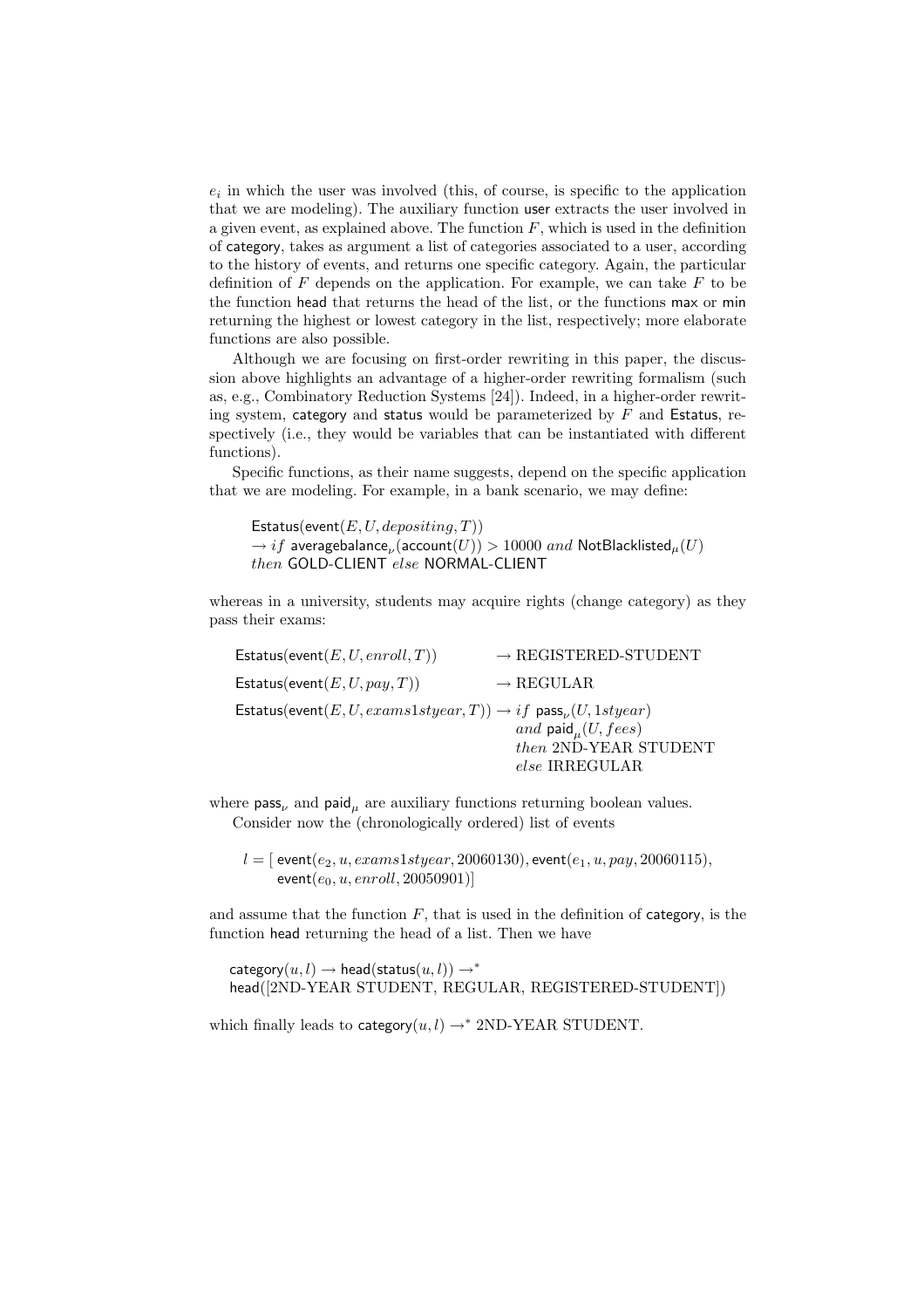$e_i$  in which the user was involved (this, of course, is specific to the application that we are modeling). The auxiliary function user extracts the user involved in a given event, as explained above. The function  $F$ , which is used in the definition of category, takes as argument a list of categories associated to a user, according to the history of events, and returns one specific category. Again, the particular definition of  $F$  depends on the application. For example, we can take  $F$  to be the function head that returns the head of the list, or the functions max or min returning the highest or lowest category in the list, respectively; more elaborate functions are also possible.

Although we are focusing on first-order rewriting in this paper, the discussion above highlights an advantage of a higher-order rewriting formalism (such as, e.g., Combinatory Reduction Systems [24]). Indeed, in a higher-order rewriting system, category and status would be parameterized by  $F$  and Estatus, respectively (i.e., they would be variables that can be instantiated with different functions).

Specific functions, as their name suggests, depend on the specific application that we are modeling. For example, in a bank scenario, we may define:

Estatus(event $(E, U, depositing, T)$ )  $\rightarrow if$  averagebalance $_{\nu}(\operatorname{account}(U)) > 10000$   $and$   $\operatorname{\mathsf{NotBlacklisted}}_{\mu}(U)$ then GOLD-CLIENT else NORMAL-CLIENT

whereas in a university, students may acquire rights (change category) as they pass their exams:

| Estatus(event(E, U, enroll, T))                                                       | $\rightarrow$ REGISTERED-STUDENT                                            |
|---------------------------------------------------------------------------------------|-----------------------------------------------------------------------------|
| Estatus(event $(E, U, pay, T)$ )                                                      | $\rightarrow$ REGULAR                                                       |
| Estatus(event(E, U, exams1styear, T)) $\rightarrow$ if pass <sub>v</sub> (U, 1styear) | and $\text{paid}_{\mu}(U, fees)$<br>then 2ND-YEAR STUDENT<br>else IRREGULAR |

where  $\text{pass}_{\nu}$  and  $\text{paid}_{\mu}$  are auxiliary functions returning boolean values. Consider now the (chronologically ordered) list of events

 $l = [\text{event}(e_2, u, exams1styear, 20060130), event(e_1, u, pay, 20060115),$  $event(e_0, u, enroll, 20050901)]$ 

and assume that the function  $F$ , that is used in the definition of category, is the function head returning the head of a list. Then we have

category $(u, l) \rightarrow$  head(status $(u, l) \rightarrow$ \* head([2ND-YEAR STUDENT, REGULAR, REGISTERED-STUDENT])

which finally leads to category $(u, l) \rightarrow^*$  2ND-YEAR STUDENT.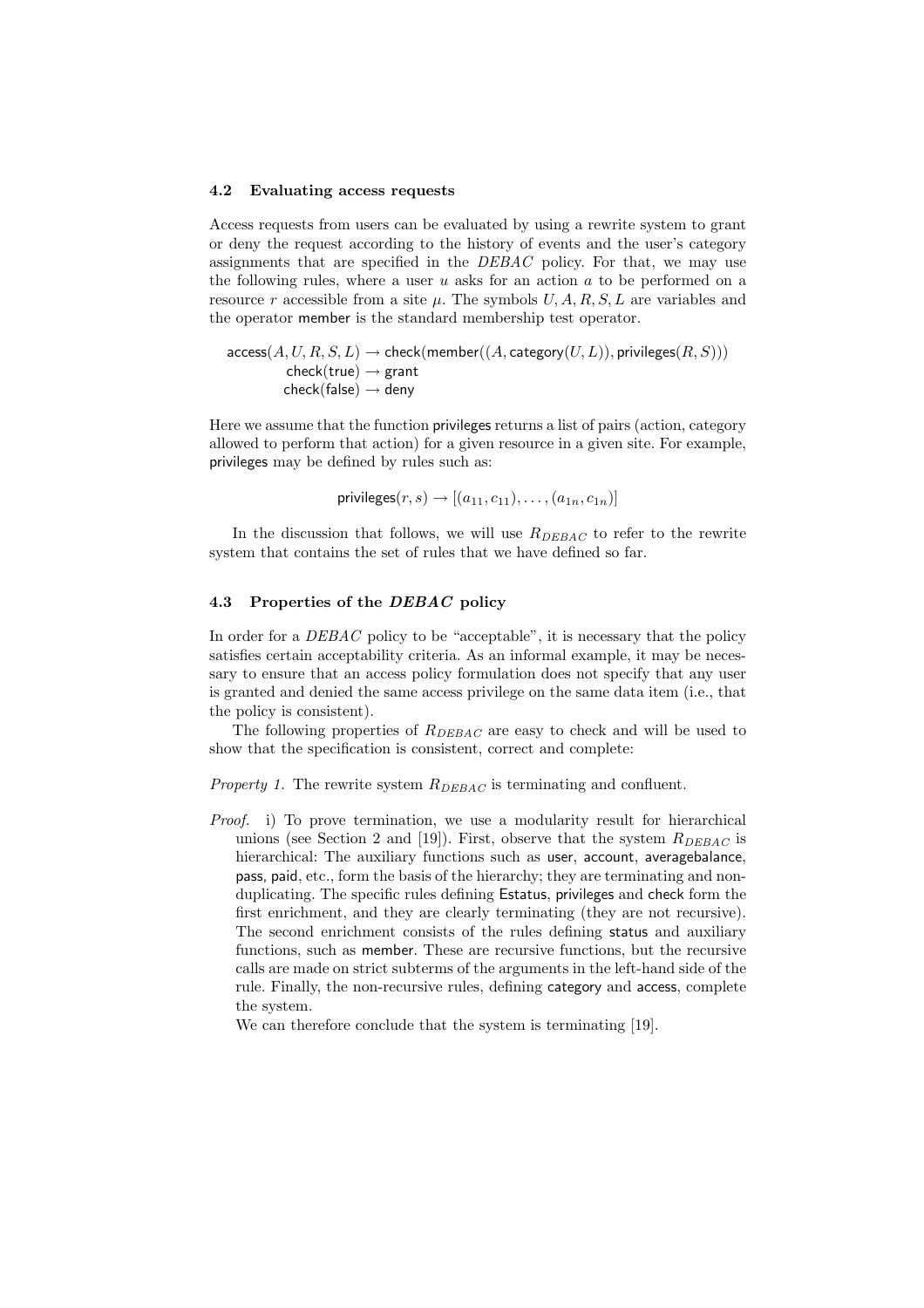#### 4.2 Evaluating access requests

Access requests from users can be evaluated by using a rewrite system to grant or deny the request according to the history of events and the user's category assignments that are specified in the DEBAC policy. For that, we may use the following rules, where a user  $u$  asks for an action  $a$  to be performed on a resource r accessible from a site  $\mu$ . The symbols U, A, R, S, L are variables and the operator member is the standard membership test operator.

 $\textsf{access}(A, U, R, S, L) \rightarrow \textsf{check}(\textsf{member}((A, \textsf{category}(U, L)), \textsf{privileges}(R, S)))$ check(true)  $\rightarrow$  grant  $check(false) \rightarrow deny$ 

Here we assume that the function privileges returns a list of pairs (action, category allowed to perform that action) for a given resource in a given site. For example, privileges may be defined by rules such as:

privileges $(r, s) \rightarrow [(a_{11}, c_{11}), \dots, (a_{1n}, c_{1n})]$ 

In the discussion that follows, we will use  $R_{DEBAC}$  to refer to the rewrite system that contains the set of rules that we have defined so far.

#### 4.3 Properties of the DEBAC policy

In order for a DEBAC policy to be "acceptable", it is necessary that the policy satisfies certain acceptability criteria. As an informal example, it may be necessary to ensure that an access policy formulation does not specify that any user is granted and denied the same access privilege on the same data item (i.e., that the policy is consistent).

The following properties of  $R_{DEBAC}$  are easy to check and will be used to show that the specification is consistent, correct and complete:

*Property 1.* The rewrite system  $R_{DEBAC}$  is terminating and confluent.

Proof. i) To prove termination, we use a modularity result for hierarchical unions (see Section 2 and [19]). First, observe that the system  $R_{DEBAC}$  is hierarchical: The auxiliary functions such as user, account, averagebalance, pass, paid, etc., form the basis of the hierarchy; they are terminating and nonduplicating. The specific rules defining Estatus, privileges and check form the first enrichment, and they are clearly terminating (they are not recursive). The second enrichment consists of the rules defining status and auxiliary functions, such as member. These are recursive functions, but the recursive calls are made on strict subterms of the arguments in the left-hand side of the rule. Finally, the non-recursive rules, defining category and access, complete the system.

We can therefore conclude that the system is terminating [19].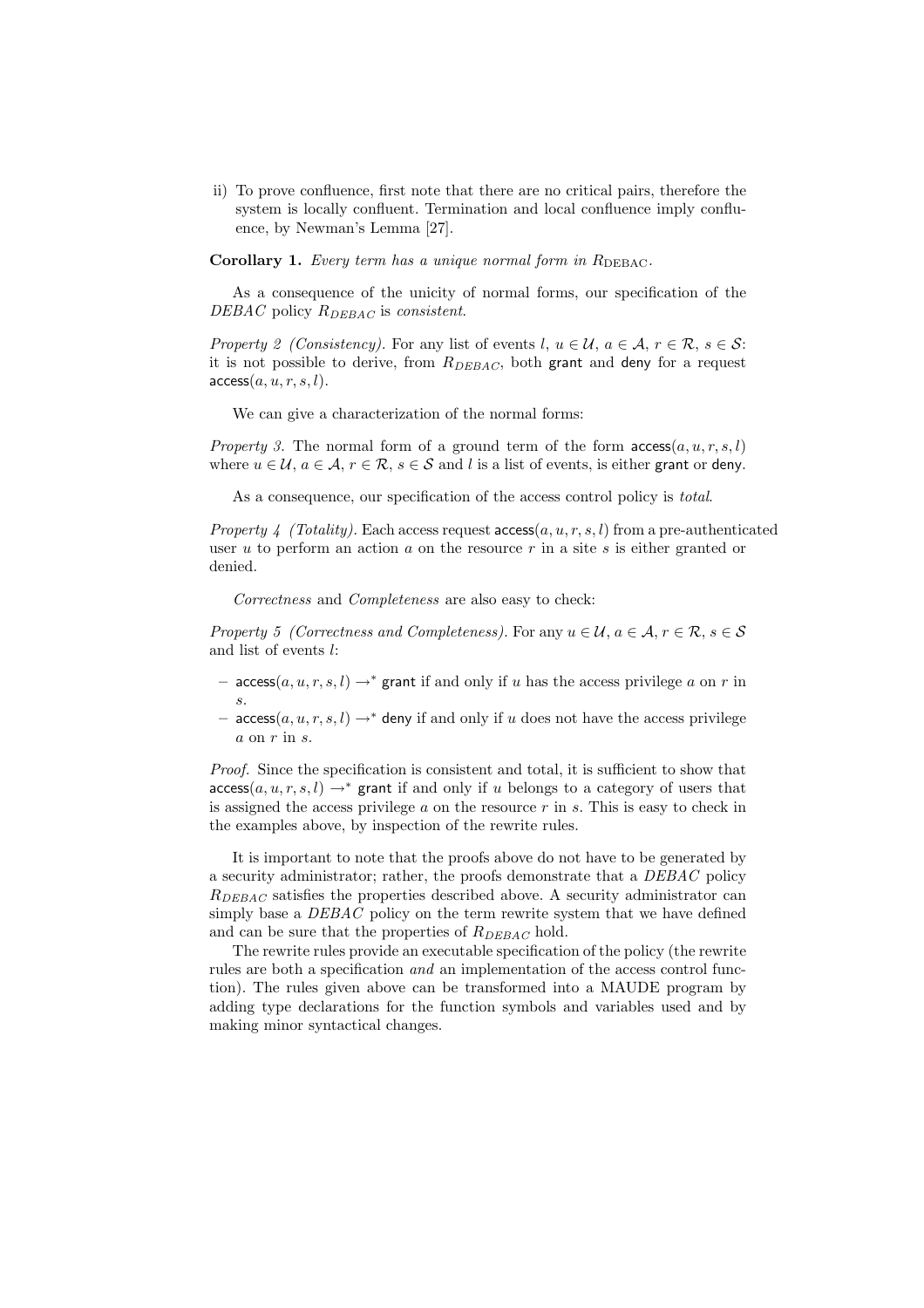ii) To prove confluence, first note that there are no critical pairs, therefore the system is locally confluent. Termination and local confluence imply confluence, by Newman's Lemma [27].

**Corollary 1.** Every term has a unique normal form in  $R_{\text{DEBAC}}$ .

As a consequence of the unicity of normal forms, our specification of the DEBAC policy  $R_{DEBAC}$  is consistent.

Property 2 (Consistency). For any list of events  $l, u \in \mathcal{U}, a \in \mathcal{A}, r \in \mathcal{R}, s \in \mathcal{S}$ : it is not possible to derive, from  $R_{DEBAC}$ , both grant and deny for a request  $\text{access}(a, u, r, s, l).$ 

We can give a characterization of the normal forms:

Property 3. The normal form of a ground term of the form  $\arccos(a, u, r, s, l)$ where  $u \in \mathcal{U}$ ,  $a \in \mathcal{A}$ ,  $r \in \mathcal{R}$ ,  $s \in \mathcal{S}$  and l is a list of events, is either grant or deny.

As a consequence, our specification of the access control policy is total.

*Property 4 (Totality).* Each access request  $\arccos(a, u, r, s, l)$  from a pre-authenticated user u to perform an action a on the resource r in a site s is either granted or denied.

Correctness and Completeness are also easy to check:

Property 5 (Correctness and Completeness). For any  $u \in \mathcal{U}$ ,  $a \in \mathcal{A}$ ,  $r \in \mathcal{R}$ ,  $s \in \mathcal{S}$ and list of events l:

- access $(a, u, r, s, l) \rightarrow^*$  grant if and only if u has the access privilege a on r in s.
- $\arccos(a, u, r, s, l) \rightarrow^*$  deny if and only if u does not have the access privilege  $a$  on  $r$  in  $s$ .

Proof. Since the specification is consistent and total, it is sufficient to show that  $\text{access}(a, u, r, s, l) \rightarrow^* \text{grant if and only if } u \text{ belongs to a category of users that}$ is assigned the access privilege  $a$  on the resource  $r$  in  $s$ . This is easy to check in the examples above, by inspection of the rewrite rules.

It is important to note that the proofs above do not have to be generated by a security administrator; rather, the proofs demonstrate that a DEBAC policy  $R_{DEBAC}$  satisfies the properties described above. A security administrator can simply base a DEBAC policy on the term rewrite system that we have defined and can be sure that the properties of  $R_{DEBAC}$  hold.

The rewrite rules provide an executable specification of the policy (the rewrite rules are both a specification and an implementation of the access control function). The rules given above can be transformed into a MAUDE program by adding type declarations for the function symbols and variables used and by making minor syntactical changes.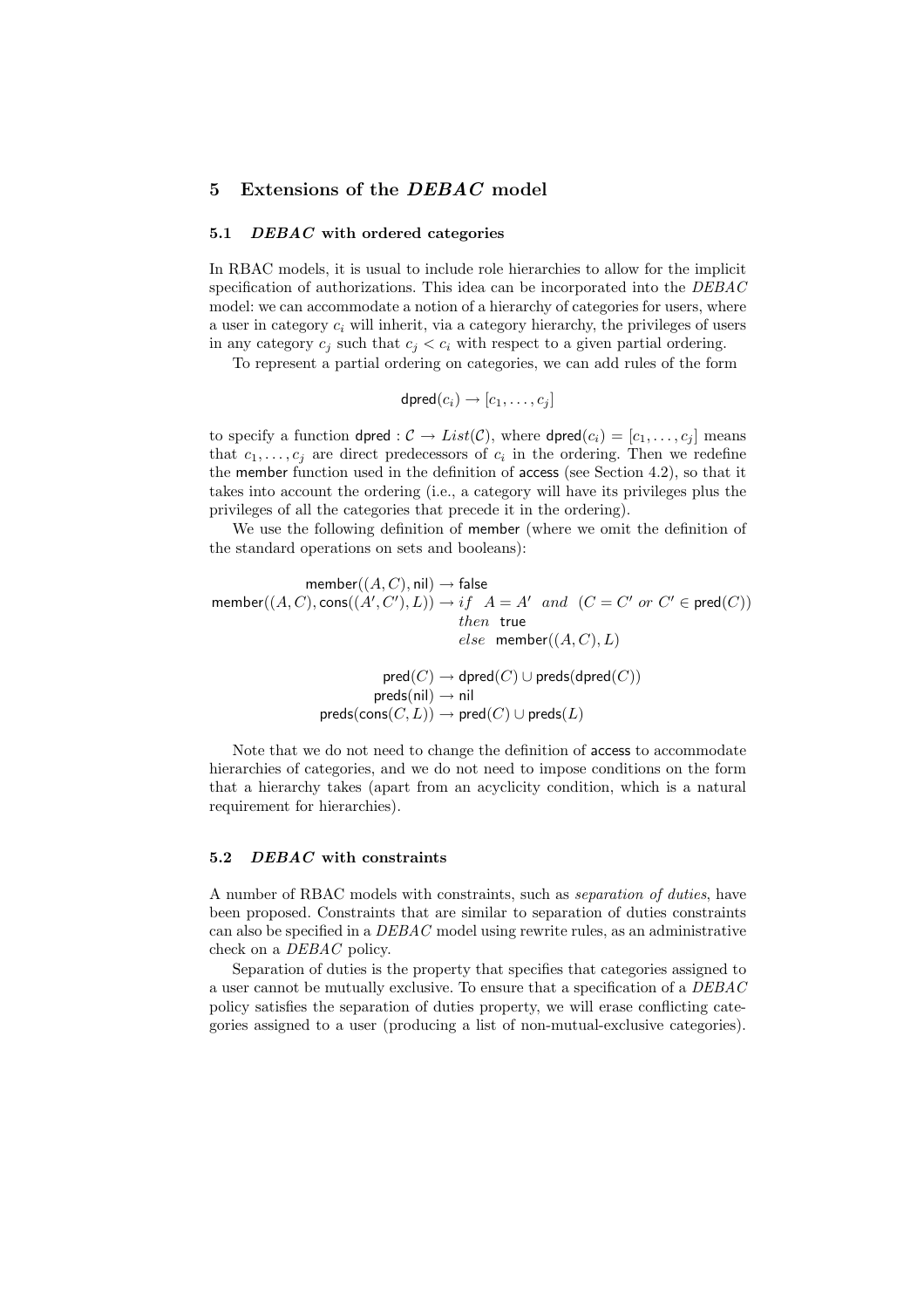## 5 Extensions of the DEBAC model

#### 5.1 DEBAC with ordered categories

In RBAC models, it is usual to include role hierarchies to allow for the implicit specification of authorizations. This idea can be incorporated into the DEBAC model: we can accommodate a notion of a hierarchy of categories for users, where a user in category  $c_i$  will inherit, via a category hierarchy, the privileges of users in any category  $c_i$  such that  $c_i < c_i$  with respect to a given partial ordering.

To represent a partial ordering on categories, we can add rules of the form

$$
\mathsf{dpred}(c_i) \to [c_1, \ldots, c_j]
$$

to specify a function dpred :  $C \rightarrow List(C)$ , where dpred $(c_i) = [c_1, \ldots, c_j]$  means that  $c_1, \ldots, c_j$  are direct predecessors of  $c_i$  in the ordering. Then we redefine the member function used in the definition of access (see Section 4.2), so that it takes into account the ordering (i.e., a category will have its privileges plus the privileges of all the categories that precede it in the ordering).

We use the following definition of member (where we omit the definition of the standard operations on sets and booleans):

$$
\begin{array}{c} \mathsf{member}((A,C),\mathsf{nil}) \rightarrow \mathsf{false} \\ \mathsf{member}((A,C),\mathsf{cons}((A',C'),L)) \rightarrow if \;\; A = A' \;\; and \;\; (C = C' \;\, or \; C' \in \mathsf{pred}(C)) \\qquad \qquad then \;\; \mathsf{true} \\ \mathsf{else} \;\; \mathsf{member}((A,C),L) \\ \mathsf{pred}(C) \rightarrow \mathsf{dpred}(C) \cup \mathsf{preds}(\mathsf{dpred}(C)) \\ \mathsf{preds}(\mathsf{nil}) \rightarrow \mathsf{nil} \end{array}
$$

 $\text{preds}(\text{cons}(C, L)) \rightarrow \text{pred}(C) \cup \text{pred}(L)$ 

Note that we do not need to change the definition of access to accommodate hierarchies of categories, and we do not need to impose conditions on the form that a hierarchy takes (apart from an acyclicity condition, which is a natural requirement for hierarchies).

#### 5.2 DEBAC with constraints

A number of RBAC models with constraints, such as separation of duties, have been proposed. Constraints that are similar to separation of duties constraints can also be specified in a DEBAC model using rewrite rules, as an administrative check on a DEBAC policy.

Separation of duties is the property that specifies that categories assigned to a user cannot be mutually exclusive. To ensure that a specification of a DEBAC policy satisfies the separation of duties property, we will erase conflicting categories assigned to a user (producing a list of non-mutual-exclusive categories).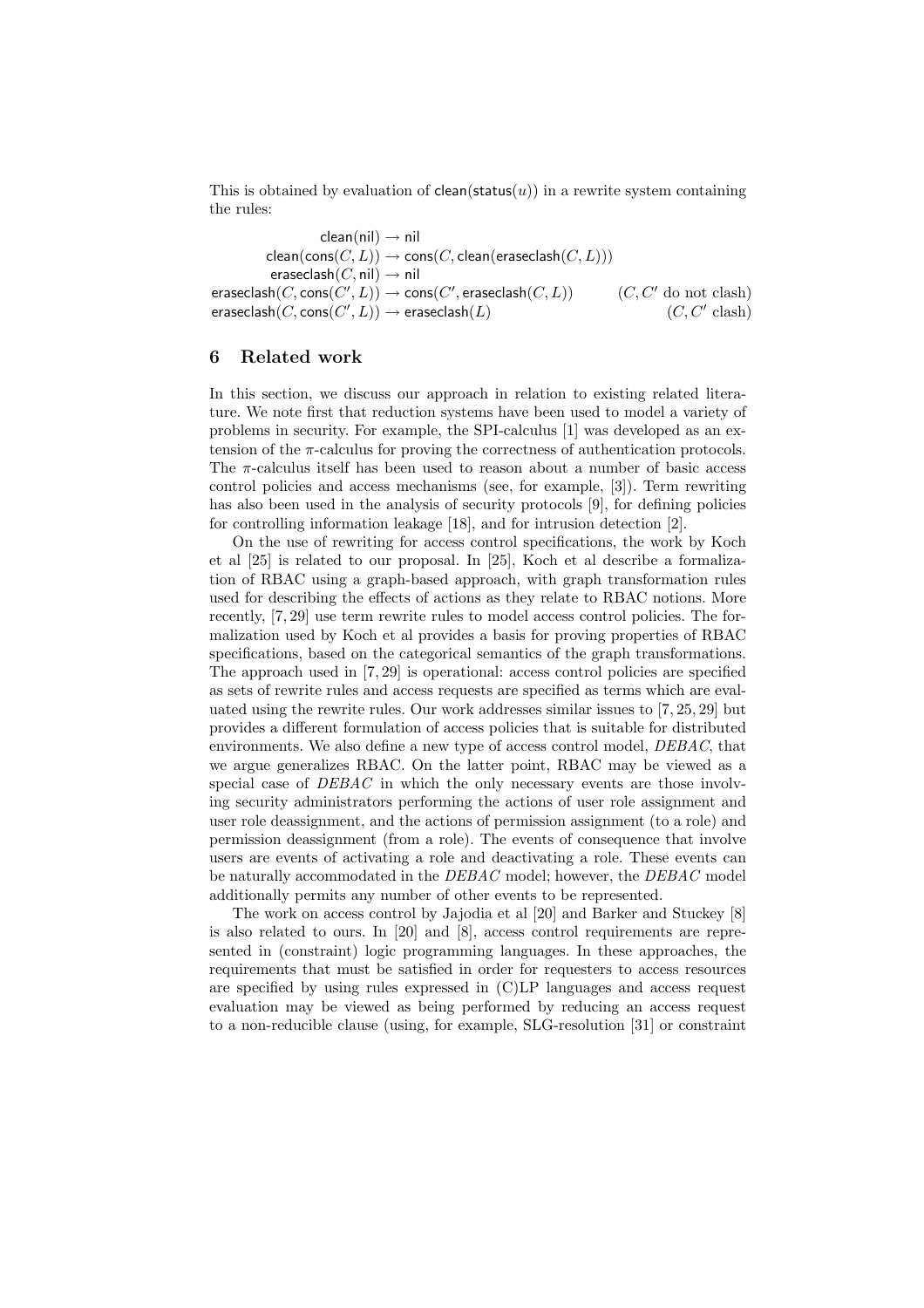This is obtained by evaluation of  $clean(status(u))$  in a rewrite system containing the rules:

 $clean(nil) \rightarrow nil$  $clean(cons(C, L)) \rightarrow cons(C, clean(eraseclash(C, L)))$ eraseclash $(C, \text{nil}) \rightarrow \text{nil}$ eraseclash $(C, \mathsf{cons}(C', L)) \to \mathsf{cons}(C')$  $(C, C'$  do not clash) eraseclash $(C, \text{cons}(C', L)) \to \text{eraseclash}(L)$  (C,  $C'$  $(C, C'$  clash)

#### 6 Related work

In this section, we discuss our approach in relation to existing related literature. We note first that reduction systems have been used to model a variety of problems in security. For example, the SPI-calculus [1] was developed as an extension of the  $\pi$ -calculus for proving the correctness of authentication protocols. The  $\pi$ -calculus itself has been used to reason about a number of basic access control policies and access mechanisms (see, for example, [3]). Term rewriting has also been used in the analysis of security protocols [9], for defining policies for controlling information leakage [18], and for intrusion detection [2].

On the use of rewriting for access control specifications, the work by Koch et al [25] is related to our proposal. In [25], Koch et al describe a formalization of RBAC using a graph-based approach, with graph transformation rules used for describing the effects of actions as they relate to RBAC notions. More recently, [7, 29] use term rewrite rules to model access control policies. The formalization used by Koch et al provides a basis for proving properties of RBAC specifications, based on the categorical semantics of the graph transformations. The approach used in [7, 29] is operational: access control policies are specified as sets of rewrite rules and access requests are specified as terms which are evaluated using the rewrite rules. Our work addresses similar issues to [7, 25, 29] but provides a different formulation of access policies that is suitable for distributed environments. We also define a new type of access control model, *DEBAC*, that we argue generalizes RBAC. On the latter point, RBAC may be viewed as a special case of DEBAC in which the only necessary events are those involving security administrators performing the actions of user role assignment and user role deassignment, and the actions of permission assignment (to a role) and permission deassignment (from a role). The events of consequence that involve users are events of activating a role and deactivating a role. These events can be naturally accommodated in the DEBAC model; however, the DEBAC model additionally permits any number of other events to be represented.

The work on access control by Jajodia et al [20] and Barker and Stuckey [8] is also related to ours. In [20] and [8], access control requirements are represented in (constraint) logic programming languages. In these approaches, the requirements that must be satisfied in order for requesters to access resources are specified by using rules expressed in (C)LP languages and access request evaluation may be viewed as being performed by reducing an access request to a non-reducible clause (using, for example, SLG-resolution [31] or constraint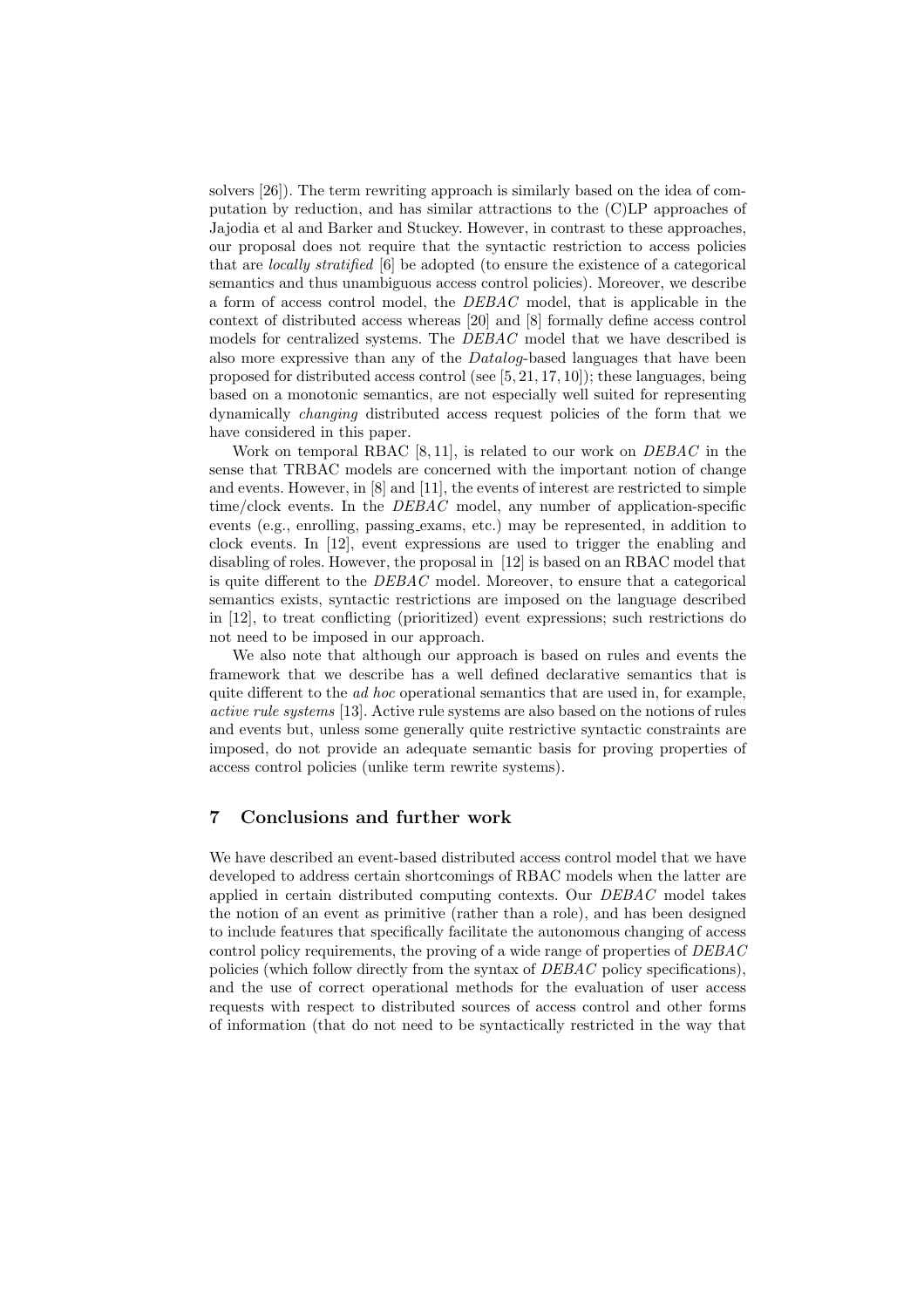solvers [26]). The term rewriting approach is similarly based on the idea of computation by reduction, and has similar attractions to the (C)LP approaches of Jajodia et al and Barker and Stuckey. However, in contrast to these approaches, our proposal does not require that the syntactic restriction to access policies that are locally stratified [6] be adopted (to ensure the existence of a categorical semantics and thus unambiguous access control policies). Moreover, we describe a form of access control model, the DEBAC model, that is applicable in the context of distributed access whereas [20] and [8] formally define access control models for centralized systems. The DEBAC model that we have described is also more expressive than any of the Datalog-based languages that have been proposed for distributed access control (see [5, 21, 17, 10]); these languages, being based on a monotonic semantics, are not especially well suited for representing dynamically changing distributed access request policies of the form that we have considered in this paper.

Work on temporal RBAC  $[8, 11]$ , is related to our work on  $DEBAC$  in the sense that TRBAC models are concerned with the important notion of change and events. However, in [8] and [11], the events of interest are restricted to simple time/clock events. In the DEBAC model, any number of application-specific events (e.g., enrolling, passing exams, etc.) may be represented, in addition to clock events. In [12], event expressions are used to trigger the enabling and disabling of roles. However, the proposal in [12] is based on an RBAC model that is quite different to the DEBAC model. Moreover, to ensure that a categorical semantics exists, syntactic restrictions are imposed on the language described in [12], to treat conflicting (prioritized) event expressions; such restrictions do not need to be imposed in our approach.

We also note that although our approach is based on rules and events the framework that we describe has a well defined declarative semantics that is quite different to the *ad hoc* operational semantics that are used in, for example, active rule systems [13]. Active rule systems are also based on the notions of rules and events but, unless some generally quite restrictive syntactic constraints are imposed, do not provide an adequate semantic basis for proving properties of access control policies (unlike term rewrite systems).

#### 7 Conclusions and further work

We have described an event-based distributed access control model that we have developed to address certain shortcomings of RBAC models when the latter are applied in certain distributed computing contexts. Our DEBAC model takes the notion of an event as primitive (rather than a role), and has been designed to include features that specifically facilitate the autonomous changing of access control policy requirements, the proving of a wide range of properties of DEBAC policies (which follow directly from the syntax of DEBAC policy specifications), and the use of correct operational methods for the evaluation of user access requests with respect to distributed sources of access control and other forms of information (that do not need to be syntactically restricted in the way that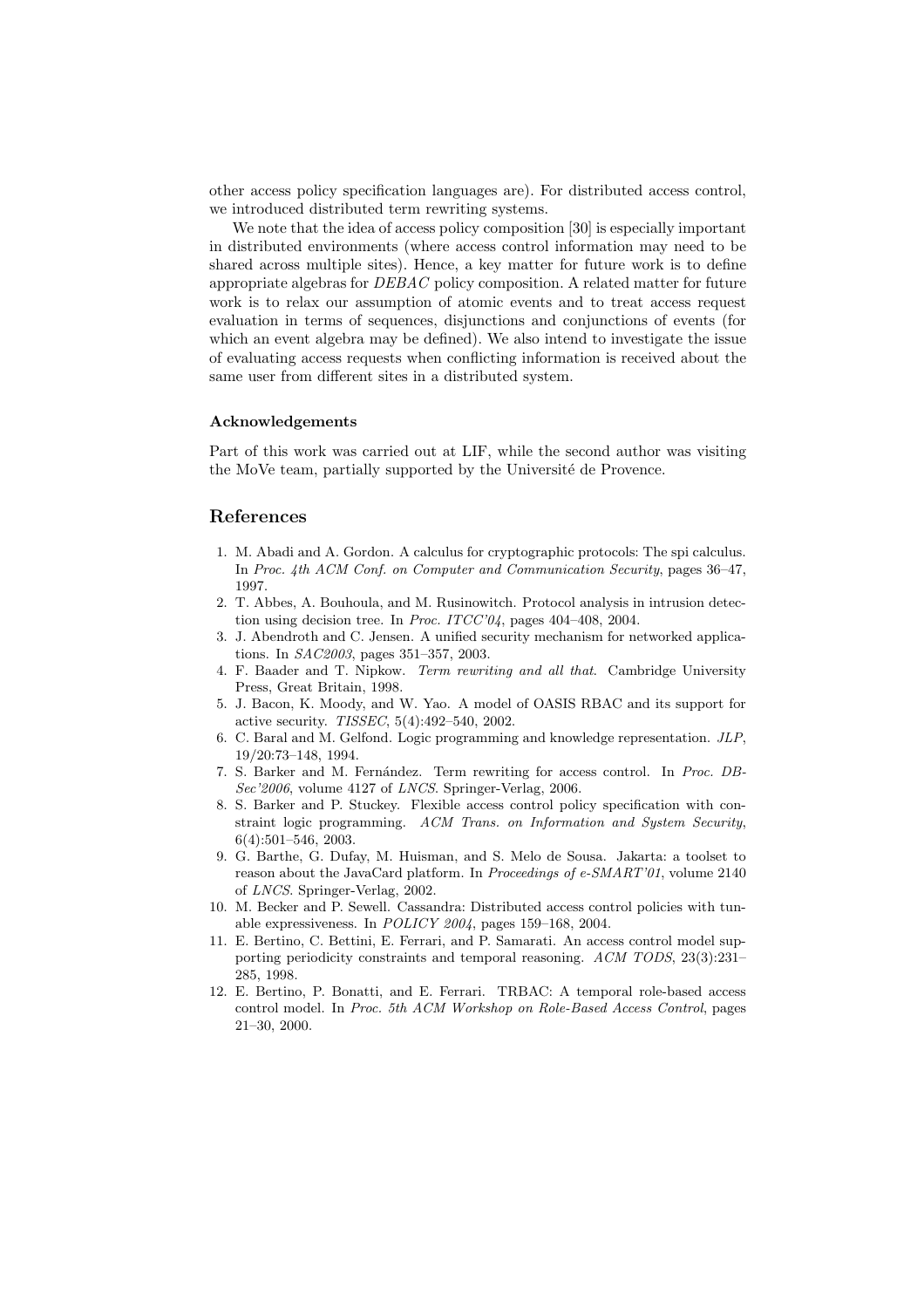other access policy specification languages are). For distributed access control, we introduced distributed term rewriting systems.

We note that the idea of access policy composition [30] is especially important in distributed environments (where access control information may need to be shared across multiple sites). Hence, a key matter for future work is to define appropriate algebras for DEBAC policy composition. A related matter for future work is to relax our assumption of atomic events and to treat access request evaluation in terms of sequences, disjunctions and conjunctions of events (for which an event algebra may be defined). We also intend to investigate the issue of evaluating access requests when conflicting information is received about the same user from different sites in a distributed system.

#### Acknowledgements

Part of this work was carried out at LIF, while the second author was visiting the MoVe team, partially supported by the Université de Provence.

#### References

- 1. M. Abadi and A. Gordon. A calculus for cryptographic protocols: The spi calculus. In Proc. 4th ACM Conf. on Computer and Communication Security, pages 36–47, 1997.
- 2. T. Abbes, A. Bouhoula, and M. Rusinowitch. Protocol analysis in intrusion detection using decision tree. In Proc. ITCC'04, pages 404–408, 2004.
- 3. J. Abendroth and C. Jensen. A unified security mechanism for networked applications. In SAC2003, pages 351–357, 2003.
- 4. F. Baader and T. Nipkow. Term rewriting and all that. Cambridge University Press, Great Britain, 1998.
- 5. J. Bacon, K. Moody, and W. Yao. A model of OASIS RBAC and its support for active security. TISSEC, 5(4):492–540, 2002.
- 6. C. Baral and M. Gelfond. Logic programming and knowledge representation. JLP, 19/20:73–148, 1994.
- 7. S. Barker and M. Fernández. Term rewriting for access control. In Proc. DB-Sec'2006, volume 4127 of LNCS. Springer-Verlag, 2006.
- 8. S. Barker and P. Stuckey. Flexible access control policy specification with constraint logic programming. ACM Trans. on Information and System Security, 6(4):501–546, 2003.
- 9. G. Barthe, G. Dufay, M. Huisman, and S. Melo de Sousa. Jakarta: a toolset to reason about the JavaCard platform. In Proceedings of e-SMART'01, volume 2140 of LNCS. Springer-Verlag, 2002.
- 10. M. Becker and P. Sewell. Cassandra: Distributed access control policies with tunable expressiveness. In POLICY 2004, pages 159–168, 2004.
- 11. E. Bertino, C. Bettini, E. Ferrari, and P. Samarati. An access control model supporting periodicity constraints and temporal reasoning. ACM TODS, 23(3):231– 285, 1998.
- 12. E. Bertino, P. Bonatti, and E. Ferrari. TRBAC: A temporal role-based access control model. In Proc. 5th ACM Workshop on Role-Based Access Control, pages 21–30, 2000.